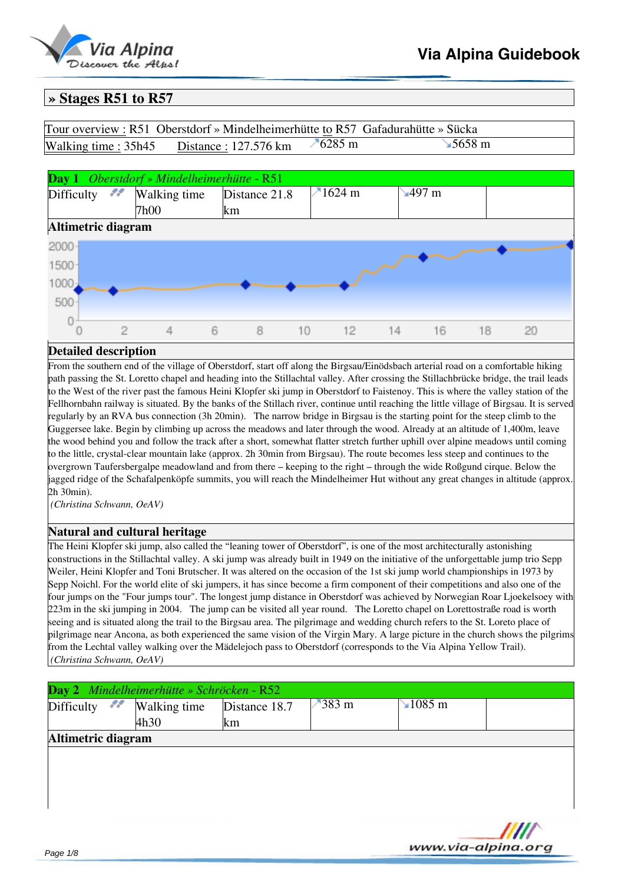

# **» Stages R51 to R57**

| Tour overview: R51 Oberstdorf » Mindelheimerhütte to R57 Gafadurahütte » Sücka |               |                |  |
|--------------------------------------------------------------------------------|---------------|----------------|--|
| Walking time: 35h45 Distance: 127.576 km                                       | $\n  76285 m$ | <b>∍5658</b> m |  |



# **Detailed description**

From the southern end of the village of Oberstdorf, start off along the Birgsau/Einödsbach arterial road on a comfortable hiking path passing the St. Loretto chapel and heading into the Stillachtal valley. After crossing the Stillachbrücke bridge, the trail leads to the West of the river past the famous Heini Klopfer ski jump in Oberstdorf to Faistenoy. This is where the valley station of the Fellhornbahn railway is situated. By the banks of the Stillach river, continue until reaching the little village of Birgsau. It is served regularly by an RVA bus connection (3h 20min). The narrow bridge in Birgsau is the starting point for the steep climb to the Guggersee lake. Begin by climbing up across the meadows and later through the wood. Already at an altitude of 1,400m, leave the wood behind you and follow the track after a short, somewhat flatter stretch further uphill over alpine meadows until coming to the little, crystal-clear mountain lake (approx. 2h 30min from Birgsau). The route becomes less steep and continues to the overgrown Taufersbergalpe meadowland and from there – keeping to the right – through the wide Roßgund cirque. Below the jagged ridge of the Schafalpenköpfe summits, you will reach the Mindelheimer Hut without any great changes in altitude (approx. 2h 30min).

*(Christina Schwann, OeAV)*

### **Natural and cultural heritage**

The Heini Klopfer ski jump, also called the "leaning tower of Oberstdorf", is one of the most architecturally astonishing constructions in the Stillachtal valley. A ski jump was already built in 1949 on the initiative of the unforgettable jump trio Sepp Weiler, Heini Klopfer and Toni Brutscher. It was altered on the occasion of the 1st ski jump world championships in 1973 by Sepp Noichl. For the world elite of ski jumpers, it has since become a firm component of their competitions and also one of the four jumps on the "Four jumps tour". The longest jump distance in Oberstdorf was achieved by Norwegian Roar Ljoekelsoey with 223m in the ski jumping in 2004. The jump can be visited all year round. The Loretto chapel on Lorettostraße road is worth seeing and is situated along the trail to the Birgsau area. The pilgrimage and wedding church refers to the St. Loreto place of pilgrimage near Ancona, as both experienced the same vision of the Virgin Mary. A large picture in the church shows the pilgrims from the Lechtal valley walking over the Mädelejoch pass to Oberstdorf (corresponds to the Via Alpina Yellow Trail). *(Christina Schwann, OeAV)*

|                    |          | Day 2 Mindelheimerhütte » Schröcken - R52 |                     |          |                 |                    |
|--------------------|----------|-------------------------------------------|---------------------|----------|-----------------|--------------------|
| Difficulty         | <u>n</u> | Walking time<br>4h30                      | Distance 18.7<br>km | $-383$ m | $\sqrt{1085}$ m |                    |
| Altimetric diagram |          |                                           |                     |          |                 |                    |
|                    |          |                                           |                     |          |                 |                    |
|                    |          |                                           |                     |          |                 |                    |
|                    |          |                                           |                     |          |                 |                    |
|                    |          |                                           |                     |          |                 |                    |
|                    |          |                                           |                     |          |                 |                    |
| $\sim$ $\sim$      |          |                                           |                     |          |                 | www.via-alpina.org |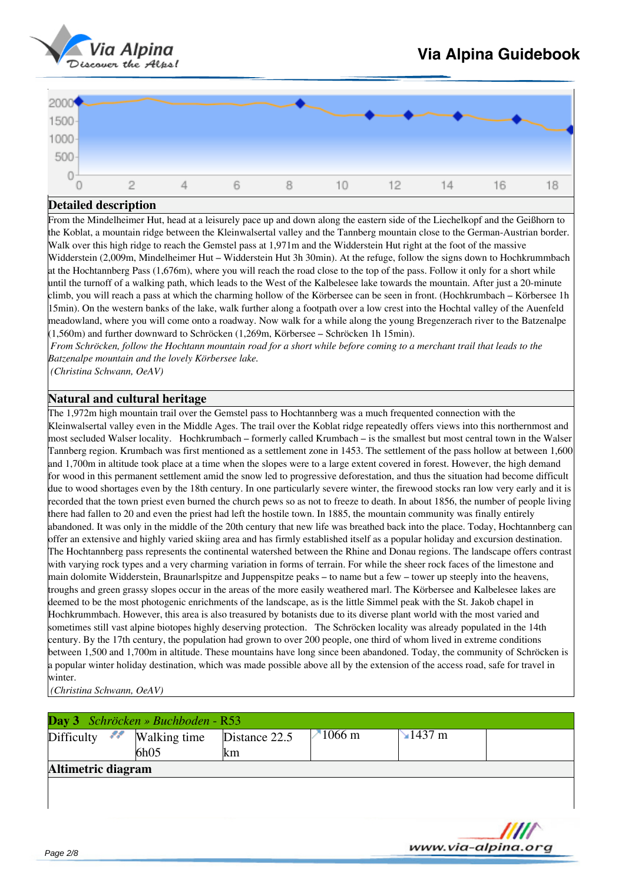

| 2000           |  |  |    |    |    |    |    |
|----------------|--|--|----|----|----|----|----|
| $1000 - 500 -$ |  |  |    |    |    |    |    |
|                |  |  |    |    |    |    |    |
| Ö              |  |  |    |    |    |    |    |
|                |  |  | 10 | 12 | 14 | 16 | ΙQ |

From the Mindelheimer Hut, head at a leisurely pace up and down along the eastern side of the Liechelkopf and the Geißhorn to the Koblat, a mountain ridge between the Kleinwalsertal valley and the Tannberg mountain close to the German-Austrian border. Walk over this high ridge to reach the Gemstel pass at 1,971m and the Widderstein Hut right at the foot of the massive Widderstein (2,009m, Mindelheimer Hut – Widderstein Hut 3h 30min). At the refuge, follow the signs down to Hochkrummbach at the Hochtannberg Pass (1,676m), where you will reach the road close to the top of the pass. Follow it only for a short while until the turnoff of a walking path, which leads to the West of the Kalbelesee lake towards the mountain. After just a 20-minute climb, you will reach a pass at which the charming hollow of the Körbersee can be seen in front. (Hochkrumbach – Körbersee 1h 15min). On the western banks of the lake, walk further along a footpath over a low crest into the Hochtal valley of the Auenfeld meadowland, where you will come onto a roadway. Now walk for a while along the young Bregenzerach river to the Batzenalpe (1,560m) and further downward to Schröcken (1,269m, Körbersee – Schröcken 1h 15min).

*From Schröcken, follow the Hochtann mountain road for a short while before coming to a merchant trail that leads to the Batzenalpe mountain and the lovely Körbersee lake.*

*(Christina Schwann, OeAV)*

# **Natural and cultural heritage**

The 1,972m high mountain trail over the Gemstel pass to Hochtannberg was a much frequented connection with the Kleinwalsertal valley even in the Middle Ages. The trail over the Koblat ridge repeatedly offers views into this northernmost and most secluded Walser locality. Hochkrumbach – formerly called Krumbach – is the smallest but most central town in the Walser Tannberg region. Krumbach was first mentioned as a settlement zone in 1453. The settlement of the pass hollow at between 1,600 and 1,700m in altitude took place at a time when the slopes were to a large extent covered in forest. However, the high demand for wood in this permanent settlement amid the snow led to progressive deforestation, and thus the situation had become difficult due to wood shortages even by the 18th century. In one particularly severe winter, the firewood stocks ran low very early and it is recorded that the town priest even burned the church pews so as not to freeze to death. In about 1856, the number of people living there had fallen to 20 and even the priest had left the hostile town. In 1885, the mountain community was finally entirely abandoned. It was only in the middle of the 20th century that new life was breathed back into the place. Today, Hochtannberg can offer an extensive and highly varied skiing area and has firmly established itself as a popular holiday and excursion destination. The Hochtannberg pass represents the continental watershed between the Rhine and Donau regions. The landscape offers contrast with varying rock types and a very charming variation in forms of terrain. For while the sheer rock faces of the limestone and main dolomite Widderstein, Braunarlspitze and Juppenspitze peaks – to name but a few – tower up steeply into the heavens, troughs and green grassy slopes occur in the areas of the more easily weathered marl. The Körbersee and Kalbelesee lakes are deemed to be the most photogenic enrichments of the landscape, as is the little Simmel peak with the St. Jakob chapel in Hochkrummbach. However, this area is also treasured by botanists due to its diverse plant world with the most varied and sometimes still vast alpine biotopes highly deserving protection. The Schröcken locality was already populated in the 14th century. By the 17th century, the population had grown to over 200 people, one third of whom lived in extreme conditions between 1,500 and 1,700m in altitude. These mountains have long since been abandoned. Today, the community of Schröcken is a popular winter holiday destination, which was made possible above all by the extension of the access road, safe for travel in winter.

*(Christina Schwann, OeAV)*

|                    | Day 3 Schröcken » Buchboden - R53 |               |           |                   |                    |  |
|--------------------|-----------------------------------|---------------|-----------|-------------------|--------------------|--|
| - 11<br>Difficulty | Walking time                      | Distance 22.5 | $-1066$ m | $\text{M}$ 1437 m |                    |  |
|                    | 6h05                              | lkm           |           |                   |                    |  |
| Altimetric diagram |                                   |               |           |                   |                    |  |
|                    |                                   |               |           |                   |                    |  |
|                    |                                   |               |           |                   |                    |  |
|                    |                                   |               |           |                   |                    |  |
|                    |                                   |               |           |                   |                    |  |
|                    |                                   |               |           |                   | www.via-alpina.org |  |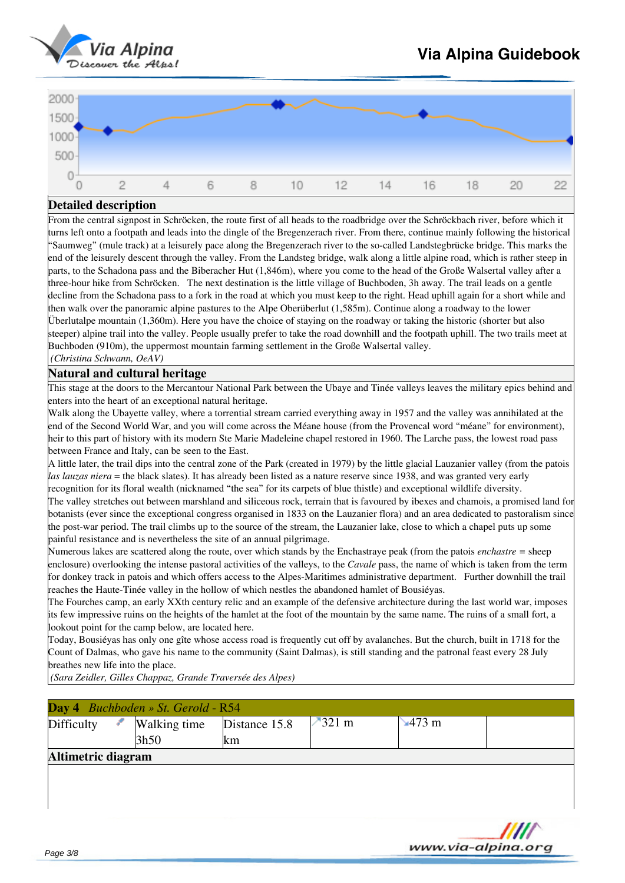



From the central signpost in Schröcken, the route first of all heads to the roadbridge over the Schröckbach river, before which it turns left onto a footpath and leads into the dingle of the Bregenzerach river. From there, continue mainly following the historical "Saumweg" (mule track) at a leisurely pace along the Bregenzerach river to the so-called Landstegbrücke bridge. This marks the end of the leisurely descent through the valley. From the Landsteg bridge, walk along a little alpine road, which is rather steep in parts, to the Schadona pass and the Biberacher Hut (1,846m), where you come to the head of the Große Walsertal valley after a three-hour hike from Schröcken. The next destination is the little village of Buchboden, 3h away. The trail leads on a gentle decline from the Schadona pass to a fork in the road at which you must keep to the right. Head uphill again for a short while and then walk over the panoramic alpine pastures to the Alpe Oberüberlut (1,585m). Continue along a roadway to the lower Überlutalpe mountain (1,360m). Here you have the choice of staying on the roadway or taking the historic (shorter but also steeper) alpine trail into the valley. People usually prefer to take the road downhill and the footpath uphill. The two trails meet at Buchboden (910m), the uppermost mountain farming settlement in the Große Walsertal valley.

# *(Christina Schwann, OeAV)*

# **Natural and cultural heritage**

This stage at the doors to the Mercantour National Park between the Ubaye and Tinée valleys leaves the military epics behind and enters into the heart of an exceptional natural heritage.

Walk along the Ubayette valley, where a torrential stream carried everything away in 1957 and the valley was annihilated at the end of the Second World War, and you will come across the Méane house (from the Provencal word "méane" for environment), heir to this part of history with its modern Ste Marie Madeleine chapel restored in 1960. The Larche pass, the lowest road pass between France and Italy, can be seen to the East.

A little later, the trail dips into the central zone of the Park (created in 1979) by the little glacial Lauzanier valley (from the patois *las lauzas niera* = the black slates). It has already been listed as a nature reserve since 1938, and was granted very early

recognition for its floral wealth (nicknamed "the sea" for its carpets of blue thistle) and exceptional wildlife diversity. The valley stretches out between marshland and siliceous rock, terrain that is favoured by ibexes and chamois, a promised land for botanists (ever since the exceptional congress organised in 1833 on the Lauzanier flora) and an area dedicated to pastoralism since the post-war period. The trail climbs up to the source of the stream, the Lauzanier lake, close to which a chapel puts up some painful resistance and is nevertheless the site of an annual pilgrimage.

Numerous lakes are scattered along the route, over which stands by the Enchastraye peak (from the patois *enchastre =* sheep enclosure) overlooking the intense pastoral activities of the valleys, to the *Cavale* pass, the name of which is taken from the term for donkey track in patois and which offers access to the Alpes-Maritimes administrative department. Further downhill the trail reaches the Haute-Tinée valley in the hollow of which nestles the abandoned hamlet of Bousiéyas.

The Fourches camp, an early XXth century relic and an example of the defensive architecture during the last world war, imposes its few impressive ruins on the heights of the hamlet at the foot of the mountain by the same name. The ruins of a small fort, a lookout point for the camp below, are located here.

Today, Bousiéyas has only one gîte whose access road is frequently cut off by avalanches. But the church, built in 1718 for the Count of Dalmas, who gave his name to the community (Saint Dalmas), is still standing and the patronal feast every 28 July breathes new life into the place.

*(Sara Zeidler, Gilles Chappaz, Grande Traversée des Alpes)*

|                    | Day 4 Buchboden » St. Gerold - R54 |               |                  |                |                    |
|--------------------|------------------------------------|---------------|------------------|----------------|--------------------|
| Difficulty         | Walking time                       | Distance 15.8 | $-321 \text{ m}$ | $\sqrt{473}$ m |                    |
|                    | 3h50                               | km            |                  |                |                    |
| Altimetric diagram |                                    |               |                  |                |                    |
|                    |                                    |               |                  |                |                    |
|                    |                                    |               |                  |                |                    |
|                    |                                    |               |                  |                |                    |
|                    |                                    |               |                  |                |                    |
|                    |                                    |               |                  |                | www.via-alpina.org |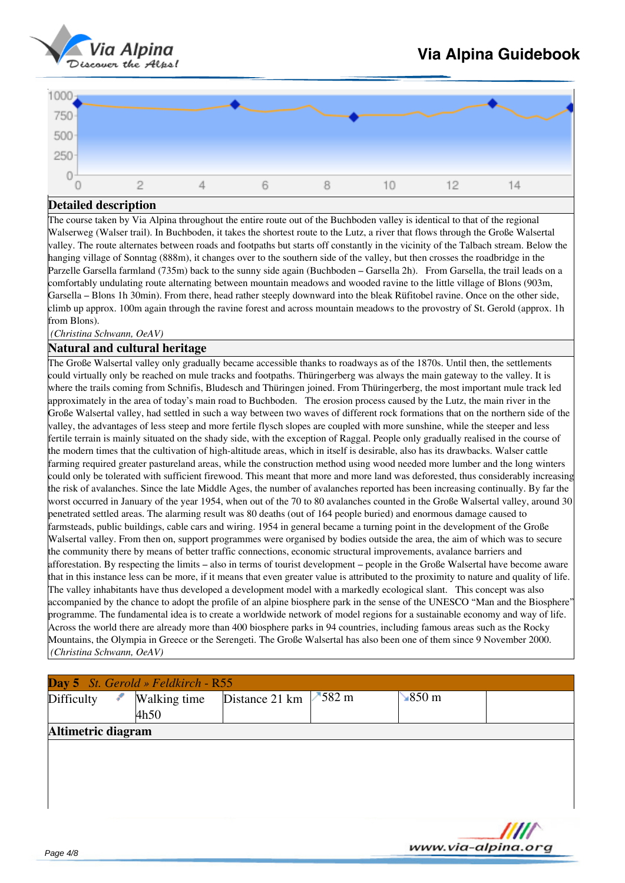

www.via-alpina.ora

| 1000                   |  |  |  |                          |   |
|------------------------|--|--|--|--------------------------|---|
| $750 - 500$<br>$250 -$ |  |  |  |                          |   |
|                        |  |  |  |                          |   |
| 0                      |  |  |  | $\overline{\phantom{a}}$ | ⊿ |

### **Detailed description**

The course taken by Via Alpina throughout the entire route out of the Buchboden valley is identical to that of the regional Walserweg (Walser trail). In Buchboden, it takes the shortest route to the Lutz, a river that flows through the Große Walsertal valley. The route alternates between roads and footpaths but starts off constantly in the vicinity of the Talbach stream. Below the hanging village of Sonntag (888m), it changes over to the southern side of the valley, but then crosses the roadbridge in the Parzelle Garsella farmland (735m) back to the sunny side again (Buchboden – Garsella 2h). From Garsella, the trail leads on a comfortably undulating route alternating between mountain meadows and wooded ravine to the little village of Blons (903m, Garsella – Blons 1h 30min). From there, head rather steeply downward into the bleak Rüfitobel ravine. Once on the other side, climb up approx. 100m again through the ravine forest and across mountain meadows to the provostry of St. Gerold (approx. 1h from Blons).

*(Christina Schwann, OeAV)*

#### **Natural and cultural heritage**

The Große Walsertal valley only gradually became accessible thanks to roadways as of the 1870s. Until then, the settlements could virtually only be reached on mule tracks and footpaths. Thüringerberg was always the main gateway to the valley. It is where the trails coming from Schnifis, Bludesch and Thüringen joined. From Thüringerberg, the most important mule track led approximately in the area of today's main road to Buchboden. The erosion process caused by the Lutz, the main river in the Große Walsertal valley, had settled in such a way between two waves of different rock formations that on the northern side of the valley, the advantages of less steep and more fertile flysch slopes are coupled with more sunshine, while the steeper and less fertile terrain is mainly situated on the shady side, with the exception of Raggal. People only gradually realised in the course of the modern times that the cultivation of high-altitude areas, which in itself is desirable, also has its drawbacks. Walser cattle farming required greater pastureland areas, while the construction method using wood needed more lumber and the long winters could only be tolerated with sufficient firewood. This meant that more and more land was deforested, thus considerably increasing the risk of avalanches. Since the late Middle Ages, the number of avalanches reported has been increasing continually. By far the worst occurred in January of the year 1954, when out of the 70 to 80 avalanches counted in the Große Walsertal valley, around 30 penetrated settled areas. The alarming result was 80 deaths (out of 164 people buried) and enormous damage caused to farmsteads, public buildings, cable cars and wiring. 1954 in general became a turning point in the development of the Große Walsertal valley. From then on, support programmes were organised by bodies outside the area, the aim of which was to secure the community there by means of better traffic connections, economic structural improvements, avalance barriers and afforestation. By respecting the limits – also in terms of tourist development – people in the Große Walsertal have become aware that in this instance less can be more, if it means that even greater value is attributed to the proximity to nature and quality of life. The valley inhabitants have thus developed a development model with a markedly ecological slant. This concept was also accompanied by the chance to adopt the profile of an alpine biosphere park in the sense of the UNESCO "Man and the Biosphere" programme. The fundamental idea is to create a worldwide network of model regions for a sustainable economy and way of life. Across the world there are already more than 400 biosphere parks in 94 countries, including famous areas such as the Rocky Mountains, the Olympia in Greece or the Serengeti. The Große Walsertal has also been one of them since 9 November 2000. *(Christina Schwann, OeAV)*

|                    | Day 5 St. Gerold » Feldkirch - R55 |                |                  |                        |  |
|--------------------|------------------------------------|----------------|------------------|------------------------|--|
| Difficulty<br>F.   | <b>Walking time</b>                | Distance 21 km | $7582 \text{ m}$ | $\sqrt{850 \text{ m}}$ |  |
|                    | 4h50                               |                |                  |                        |  |
| Altimetric diagram |                                    |                |                  |                        |  |
|                    |                                    |                |                  |                        |  |
|                    |                                    |                |                  |                        |  |
|                    |                                    |                |                  |                        |  |
|                    |                                    |                |                  |                        |  |
|                    |                                    |                |                  |                        |  |
|                    |                                    |                |                  |                        |  |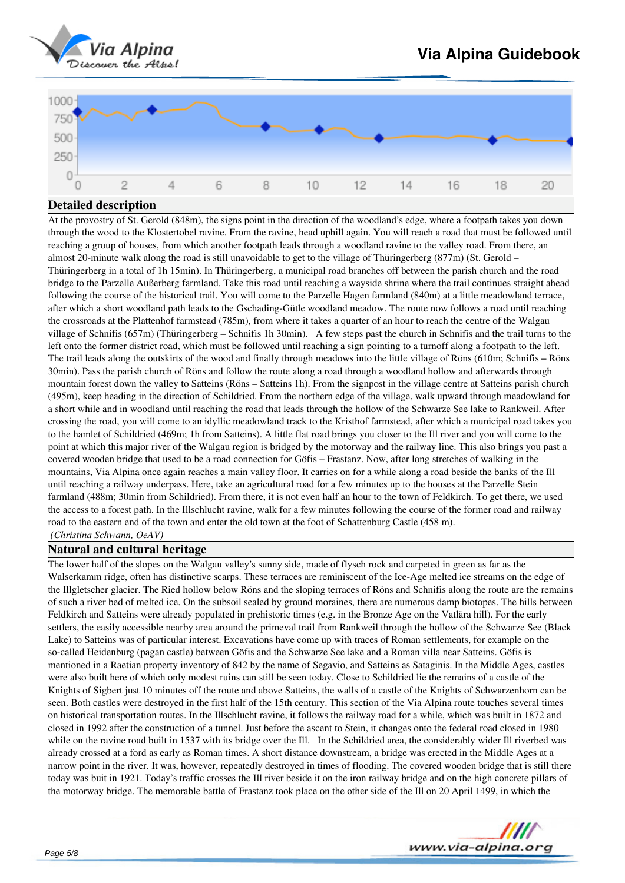



At the provostry of St. Gerold (848m), the signs point in the direction of the woodland's edge, where a footpath takes you down through the wood to the Klostertobel ravine. From the ravine, head uphill again. You will reach a road that must be followed until reaching a group of houses, from which another footpath leads through a woodland ravine to the valley road. From there, an almost 20-minute walk along the road is still unavoidable to get to the village of Thüringerberg (877m) (St. Gerold – Thüringerberg in a total of 1h 15min). In Thüringerberg, a municipal road branches off between the parish church and the road bridge to the Parzelle Außerberg farmland. Take this road until reaching a wayside shrine where the trail continues straight ahead following the course of the historical trail. You will come to the Parzelle Hagen farmland (840m) at a little meadowland terrace, after which a short woodland path leads to the Gschading-Gütle woodland meadow. The route now follows a road until reaching the crossroads at the Plattenhof farmstead (785m), from where it takes a quarter of an hour to reach the centre of the Walgau village of Schnifis (657m) (Thüringerberg – Schnifis 1h 30min). A few steps past the church in Schnifis and the trail turns to the left onto the former district road, which must be followed until reaching a sign pointing to a turnoff along a footpath to the left. The trail leads along the outskirts of the wood and finally through meadows into the little village of Röns (610m; Schnifis – Röns 30min). Pass the parish church of Röns and follow the route along a road through a woodland hollow and afterwards through mountain forest down the valley to Satteins (Röns – Satteins 1h). From the signpost in the village centre at Satteins parish church (495m), keep heading in the direction of Schildried. From the northern edge of the village, walk upward through meadowland for a short while and in woodland until reaching the road that leads through the hollow of the Schwarze See lake to Rankweil. After crossing the road, you will come to an idyllic meadowland track to the Kristhof farmstead, after which a municipal road takes you to the hamlet of Schildried (469m; 1h from Satteins). A little flat road brings you closer to the Ill river and you will come to the point at which this major river of the Walgau region is bridged by the motorway and the railway line. This also brings you past a covered wooden bridge that used to be a road connection for Göfis – Frastanz. Now, after long stretches of walking in the mountains, Via Alpina once again reaches a main valley floor. It carries on for a while along a road beside the banks of the Ill until reaching a railway underpass. Here, take an agricultural road for a few minutes up to the houses at the Parzelle Stein farmland (488m; 30min from Schildried). From there, it is not even half an hour to the town of Feldkirch. To get there, we used the access to a forest path. In the Illschlucht ravine, walk for a few minutes following the course of the former road and railway road to the eastern end of the town and enter the old town at the foot of Schattenburg Castle (458 m). *(Christina Schwann, OeAV)*

### **Natural and cultural heritage**

The lower half of the slopes on the Walgau valley's sunny side, made of flysch rock and carpeted in green as far as the Walserkamm ridge, often has distinctive scarps. These terraces are reminiscent of the Ice-Age melted ice streams on the edge of the Illgletscher glacier. The Ried hollow below Röns and the sloping terraces of Röns and Schnifis along the route are the remains of such a river bed of melted ice. On the subsoil sealed by ground moraines, there are numerous damp biotopes. The hills between Feldkirch and Satteins were already populated in prehistoric times (e.g. in the Bronze Age on the Vatlära hill). For the early settlers, the easily accessible nearby area around the primeval trail from Rankweil through the hollow of the Schwarze See (Black Lake) to Satteins was of particular interest. Excavations have come up with traces of Roman settlements, for example on the so-called Heidenburg (pagan castle) between Göfis and the Schwarze See lake and a Roman villa near Satteins. Göfis is mentioned in a Raetian property inventory of 842 by the name of Segavio, and Satteins as Sataginis. In the Middle Ages, castles were also built here of which only modest ruins can still be seen today. Close to Schildried lie the remains of a castle of the Knights of Sigbert just 10 minutes off the route and above Satteins, the walls of a castle of the Knights of Schwarzenhorn can be seen. Both castles were destroyed in the first half of the 15th century. This section of the Via Alpina route touches several times on historical transportation routes. In the Illschlucht ravine, it follows the railway road for a while, which was built in 1872 and closed in 1992 after the construction of a tunnel. Just before the ascent to Stein, it changes onto the federal road closed in 1980 while on the ravine road built in 1537 with its bridge over the Ill. In the Schildried area, the considerably wider Ill riverbed was already crossed at a ford as early as Roman times. A short distance downstream, a bridge was erected in the Middle Ages at a narrow point in the river. It was, however, repeatedly destroyed in times of flooding. The covered wooden bridge that is still there today was buit in 1921. Today's traffic crosses the Ill river beside it on the iron railway bridge and on the high concrete pillars of the motorway bridge. The memorable battle of Frastanz took place on the other side of the Ill on 20 April 1499, in which the

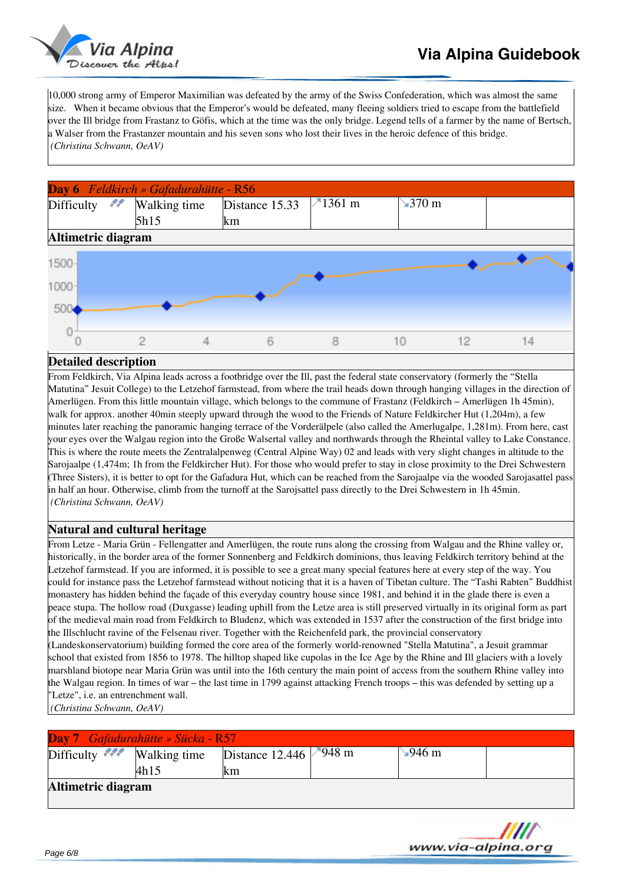

10,000 strong army of Emperor Maximilian was defeated by the army of the Swiss Confederation, which was almost the same size. When it became obvious that the Emperor's would be defeated, many fleeing soldiers tried to escape from the battlefield over the Ill bridge from Frastanz to Göfis, which at the time was the only bridge. Legend tells of a farmer by the name of Bertsch, a Walser from the Frastanzer mountain and his seven sons who lost their lives in the heroic defence of this bridge. *(Christina Schwann, OeAV)*



### **Detailed description**

From Feldkirch, Via Alpina leads across a footbridge over the Ill, past the federal state conservatory (formerly the "Stella Matutina" Jesuit College) to the Letzehof farmstead, from where the trail heads down through hanging villages in the direction of Amerlügen. From this little mountain village, which belongs to the commune of Frastanz (Feldkirch – Amerlügen 1h 45min), walk for approx. another 40min steeply upward through the wood to the Friends of Nature Feldkircher Hut (1,204m), a few minutes later reaching the panoramic hanging terrace of the Vorderälpele (also called the Amerlugalpe, 1,281m). From here, cast your eyes over the Walgau region into the Große Walsertal valley and northwards through the Rheintal valley to Lake Constance. This is where the route meets the Zentralalpenweg (Central Alpine Way) 02 and leads with very slight changes in altitude to the Sarojaalpe (1,474m; 1h from the Feldkircher Hut). For those who would prefer to stay in close proximity to the Drei Schwestern (Three Sisters), it is better to opt for the Gafadura Hut, which can be reached from the Sarojaalpe via the wooded Sarojasattel pass in half an hour. Otherwise, climb from the turnoff at the Sarojsattel pass directly to the Drei Schwestern in 1h 45min. *(Christina Schwann, OeAV)*

# **Natural and cultural heritage**

From Letze - Maria Grün - Fellengatter and Amerlügen, the route runs along the crossing from Walgau and the Rhine valley or, historically, in the border area of the former Sonnenberg and Feldkirch dominions, thus leaving Feldkirch territory behind at the Letzehof farmstead. If you are informed, it is possible to see a great many special features here at every step of the way. You could for instance pass the Letzehof farmstead without noticing that it is a haven of Tibetan culture. The "Tashi Rabten" Buddhist monastery has hidden behind the façade of this everyday country house since 1981, and behind it in the glade there is even a peace stupa. The hollow road (Duxgasse) leading uphill from the Letze area is still preserved virtually in its original form as part of the medieval main road from Feldkirch to Bludenz, which was extended in 1537 after the construction of the first bridge into the Illschlucht ravine of the Felsenau river. Together with the Reichenfeld park, the provincial conservatory (Landeskonservatorium) building formed the core area of the formerly world-renowned "Stella Matutina", a Jesuit grammar school that existed from 1856 to 1978. The hilltop shaped like cupolas in the Ice Age by the Rhine and Ill glaciers with a lovely marshland biotope near Maria Grün was until into the 16th century the main point of access from the southern Rhine valley into the Walgau region. In times of war – the last time in 1799 against attacking French troops – this was defended by setting up a "Letze", i.e. an entrenchment wall.

*(Christina Schwann, OeAV)*

|                                       | Day 7 Gafadurahütte » Sücka - R57 |                                |              |         |
|---------------------------------------|-----------------------------------|--------------------------------|--------------|---------|
| Difficulty $\mathscr{F}$ Walking time |                                   | Distance 12.446 $\sqrt{948}$ m | $\sim$ 946 m |         |
|                                       | 4h15                              | lkm                            |              |         |
| Altimetric diagram                    |                                   |                                |              |         |
|                                       |                                   |                                |              |         |
|                                       |                                   |                                |              | _______ |

www.via-alpina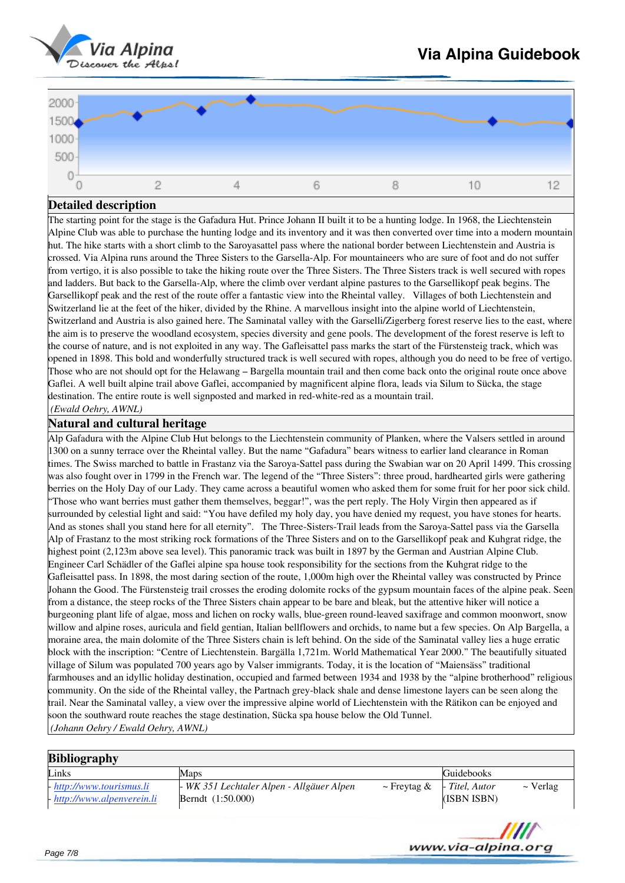



The starting point for the stage is the Gafadura Hut. Prince Johann II built it to be a hunting lodge. In 1968, the Liechtenstein Alpine Club was able to purchase the hunting lodge and its inventory and it was then converted over time into a modern mountain hut. The hike starts with a short climb to the Saroyasattel pass where the national border between Liechtenstein and Austria is crossed. Via Alpina runs around the Three Sisters to the Garsella-Alp. For mountaineers who are sure of foot and do not suffer from vertigo, it is also possible to take the hiking route over the Three Sisters. The Three Sisters track is well secured with ropes and ladders. But back to the Garsella-Alp, where the climb over verdant alpine pastures to the Garsellikopf peak begins. The Garsellikopf peak and the rest of the route offer a fantastic view into the Rheintal valley. Villages of both Liechtenstein and Switzerland lie at the feet of the hiker, divided by the Rhine. A marvellous insight into the alpine world of Liechtenstein, Switzerland and Austria is also gained here. The Saminatal valley with the Garselli/Zigerberg forest reserve lies to the east, where the aim is to preserve the woodland ecosystem, species diversity and gene pools. The development of the forest reserve is left to the course of nature, and is not exploited in any way. The Gafleisattel pass marks the start of the Fürstensteig track, which was opened in 1898. This bold and wonderfully structured track is well secured with ropes, although you do need to be free of vertigo. Those who are not should opt for the Helawang – Bargella mountain trail and then come back onto the original route once above Gaflei. A well built alpine trail above Gaflei, accompanied by magnificent alpine flora, leads via Silum to Sücka, the stage destination. The entire route is well signposted and marked in red-white-red as a mountain trail.

*(Ewald Oehry, AWNL)*

# **Natural and cultural heritage**

Alp Gafadura with the Alpine Club Hut belongs to the Liechtenstein community of Planken, where the Valsers settled in around 1300 on a sunny terrace over the Rheintal valley. But the name "Gafadura" bears witness to earlier land clearance in Roman times. The Swiss marched to battle in Frastanz via the Saroya-Sattel pass during the Swabian war on 20 April 1499. This crossing was also fought over in 1799 in the French war. The legend of the "Three Sisters": three proud, hardhearted girls were gathering berries on the Holy Day of our Lady. They came across a beautiful women who asked them for some fruit for her poor sick child. "Those who want berries must gather them themselves, beggar!", was the pert reply. The Holy Virgin then appeared as if surrounded by celestial light and said: "You have defiled my holy day, you have denied my request, you have stones for hearts. And as stones shall you stand here for all eternity". The Three-Sisters-Trail leads from the Saroya-Sattel pass via the Garsella Alp of Frastanz to the most striking rock formations of the Three Sisters and on to the Garsellikopf peak and Kuhgrat ridge, the highest point (2,123m above sea level). This panoramic track was built in 1897 by the German and Austrian Alpine Club. Engineer Carl Schädler of the Gaflei alpine spa house took responsibility for the sections from the Kuhgrat ridge to the Gafleisattel pass. In 1898, the most daring section of the route, 1,000m high over the Rheintal valley was constructed by Prince Johann the Good. The Fürstensteig trail crosses the eroding dolomite rocks of the gypsum mountain faces of the alpine peak. Seen from a distance, the steep rocks of the Three Sisters chain appear to be bare and bleak, but the attentive hiker will notice a burgeoning plant life of algae, moss and lichen on rocky walls, blue-green round-leaved saxifrage and common moonwort, snow willow and alpine roses, auricula and field gentian, Italian bellflowers and orchids, to name but a few species. On Alp Bargella, a moraine area, the main dolomite of the Three Sisters chain is left behind. On the side of the Saminatal valley lies a huge erratic block with the inscription: "Centre of Liechtenstein. Bargälla 1,721m. World Mathematical Year 2000." The beautifully situated village of Silum was populated 700 years ago by Valser immigrants. Today, it is the location of "Maiensäss" traditional farmhouses and an idyllic holiday destination, occupied and farmed between 1934 and 1938 by the "alpine brotherhood" religious community. On the side of the Rheintal valley, the Partnach grey-black shale and dense limestone layers can be seen along the trail. Near the Saminatal valley, a view over the impressive alpine world of Liechtenstein with the Rätikon can be enjoyed and soon the southward route reaches the stage destination, Sücka spa house below the Old Tunnel. *(Johann Oehry / Ewald Oehry, AWNL)*

| <b>Bibliography</b>                                        |                                                                |                  |                               |               |
|------------------------------------------------------------|----------------------------------------------------------------|------------------|-------------------------------|---------------|
| Links                                                      | Maps                                                           |                  | Guidebooks                    |               |
| - http://www.tourismus.li<br>$-$ http://www.alpenverein.li | - WK 351 Lechtaler Alpen - Allgäuer Alpen<br>Berndt (1:50.000) | $\sim$ Freytag & | - Titel, Autor<br>(ISBN ISBN) | $\sim$ Verlag |